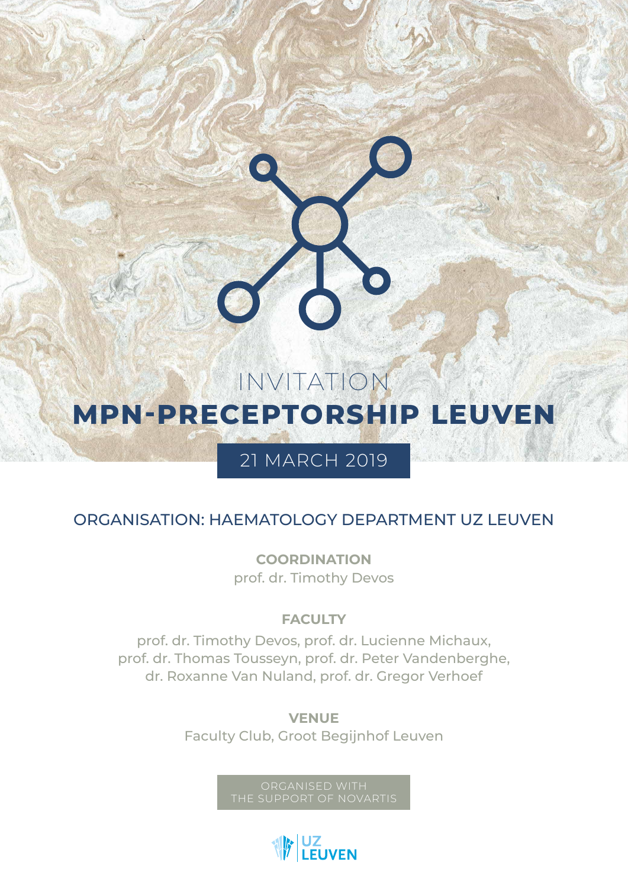## INVITATION **MPN-PRECEPTORSHIP LEUVEN**

### 21 MARCH 2019

#### ORGANISATION: HAEMATOLOGY DEPARTMENT UZ LEUVEN

**COORDINATION** prof. dr. Timothy Devos

#### **FACULTY**

prof. dr. Timothy Devos, prof. dr. Lucienne Michaux, prof. dr. Thomas Tousseyn, prof. dr. Peter Vandenberghe, dr. Roxanne Van Nuland, prof. dr. Gregor Verhoef

> **VENUE** Faculty Club, Groot Begijnhof Leuven

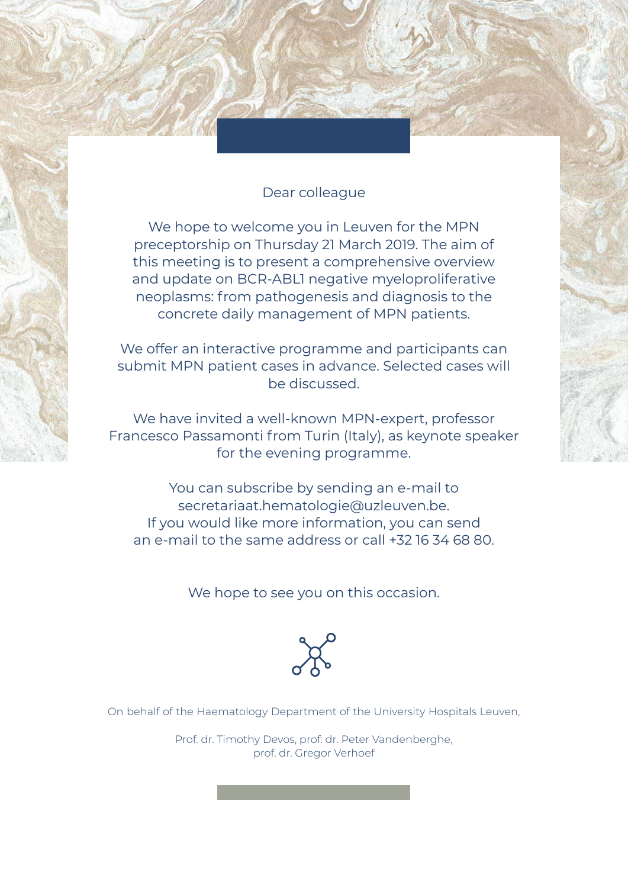#### Dear colleague

We hope to welcome you in Leuven for the MPN preceptorship on Thursday 21 March 2019. The aim of this meeting is to present a comprehensive overview and update on BCR-ABL1 negative myeloproliferative neoplasms: from pathogenesis and diagnosis to the concrete daily management of MPN patients.

We offer an interactive programme and participants can submit MPN patient cases in advance. Selected cases will be discussed.

We have invited a well-known MPN-expert, professor Francesco Passamonti from Turin (Italy), as keynote speaker for the evening programme.

You can subscribe by sending an e-mail to [secretariaat.hematologie@uzleuven.be.](mailto:secretariaat.hematologie%40uzleuven.be?subject=) If you would like more information, you can send an e-mail to the same address or call +32 16 34 68 80.

We hope to see you on this occasion.



On behalf of the Haematology Department of the University Hospitals Leuven,

Prof. dr. Timothy Devos, prof. dr. Peter Vandenberghe, prof. dr. Gregor Verhoef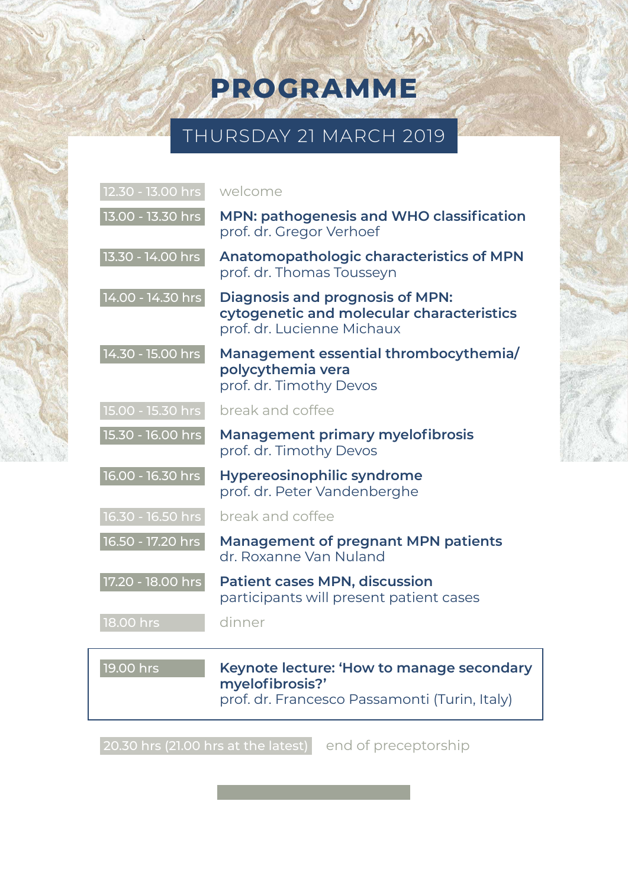# **PROGRAMME**

## THURSDAY 21 MARCH 2019

| 12.30 - 13.00 hrs | welcome                                                                                                           |
|-------------------|-------------------------------------------------------------------------------------------------------------------|
| 13.00 - 13.30 hrs | <b>MPN: pathogenesis and WHO classification</b><br>prof. dr. Gregor Verhoef                                       |
| 13.30 - 14.00 hrs | <b>Anatomopathologic characteristics of MPN</b><br>prof. dr. Thomas Tousseyn                                      |
| 14.00 - 14.30 hrs | <b>Diagnosis and prognosis of MPN:</b><br>cytogenetic and molecular characteristics<br>prof. dr. Lucienne Michaux |
| 14.30 - 15.00 hrs | Management essential thrombocythemia/<br>polycythemia vera<br>prof. dr. Timothy Devos                             |
| 15.00 - 15.30 hrs | break and coffee                                                                                                  |
| 15.30 - 16.00 hrs | <b>Management primary myelofibrosis</b><br>prof. dr. Timothy Devos                                                |
| 16.00 - 16.30 hrs | <b>Hypereosinophilic syndrome</b><br>prof. dr. Peter Vandenberghe                                                 |
| 16.30 - 16.50 hrs | break and coffee                                                                                                  |
|                   |                                                                                                                   |
| 16.50 - 17.20 hrs | <b>Management of pregnant MPN patients</b><br>dr. Roxanne Van Nuland                                              |
| 17.20 - 18.00 hrs | <b>Patient cases MPN, discussion</b><br>participants will present patient cases                                   |
| 18.00 hrs         | dinner                                                                                                            |

20.30 hrs (21.00 hrs at the latest) end of preceptorship